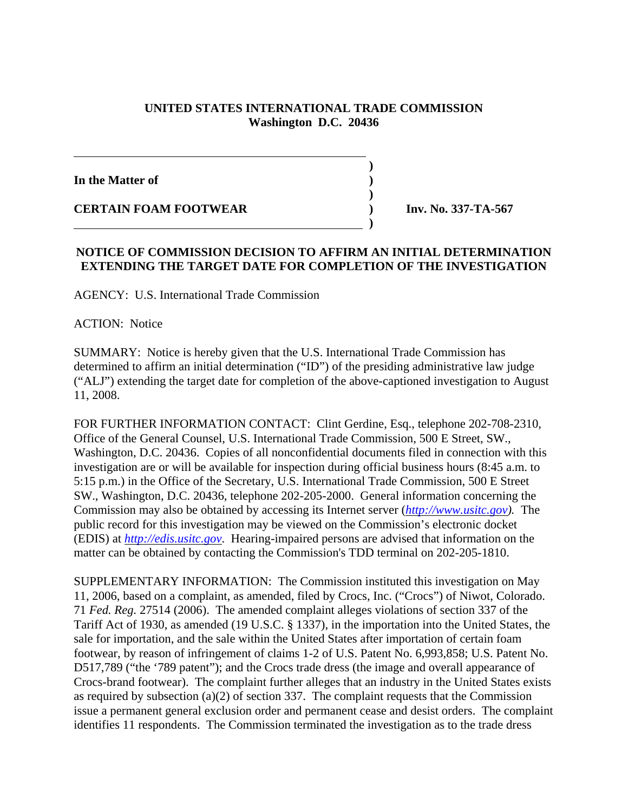## **UNITED STATES INTERNATIONAL TRADE COMMISSION Washington D.C. 20436**

**)**

**In the Matter of )**

**CERTAIN FOAM FOOTWEAR ) Inv. No. 337-TA-567**

## **NOTICE OF COMMISSION DECISION TO AFFIRM AN INITIAL DETERMINATION EXTENDING THE TARGET DATE FOR COMPLETION OF THE INVESTIGATION**

 **)**

AGENCY: U.S. International Trade Commission

 **)**

ACTION: Notice

SUMMARY: Notice is hereby given that the U.S. International Trade Commission has determined to affirm an initial determination ("ID") of the presiding administrative law judge ("ALJ") extending the target date for completion of the above-captioned investigation to August 11, 2008.

FOR FURTHER INFORMATION CONTACT: Clint Gerdine, Esq., telephone 202-708-2310, Office of the General Counsel, U.S. International Trade Commission, 500 E Street, SW., Washington, D.C. 20436. Copies of all nonconfidential documents filed in connection with this investigation are or will be available for inspection during official business hours (8:45 a.m. to 5:15 p.m.) in the Office of the Secretary, U.S. International Trade Commission, 500 E Street SW., Washington, D.C. 20436, telephone 202-205-2000. General information concerning the Commission may also be obtained by accessing its Internet server (*http://www.usitc.gov).* The public record for this investigation may be viewed on the Commission's electronic docket (EDIS) at *http://edis.usitc.gov*. Hearing-impaired persons are advised that information on the matter can be obtained by contacting the Commission's TDD terminal on 202-205-1810.

SUPPLEMENTARY INFORMATION: The Commission instituted this investigation on May 11, 2006, based on a complaint, as amended, filed by Crocs, Inc. ("Crocs") of Niwot, Colorado. 71 *Fed. Reg.* 27514 (2006). The amended complaint alleges violations of section 337 of the Tariff Act of 1930, as amended (19 U.S.C. § 1337), in the importation into the United States, the sale for importation, and the sale within the United States after importation of certain foam footwear, by reason of infringement of claims 1-2 of U.S. Patent No. 6,993,858; U.S. Patent No. D517,789 ("the '789 patent"); and the Crocs trade dress (the image and overall appearance of Crocs-brand footwear). The complaint further alleges that an industry in the United States exists as required by subsection (a)(2) of section 337. The complaint requests that the Commission issue a permanent general exclusion order and permanent cease and desist orders. The complaint identifies 11 respondents. The Commission terminated the investigation as to the trade dress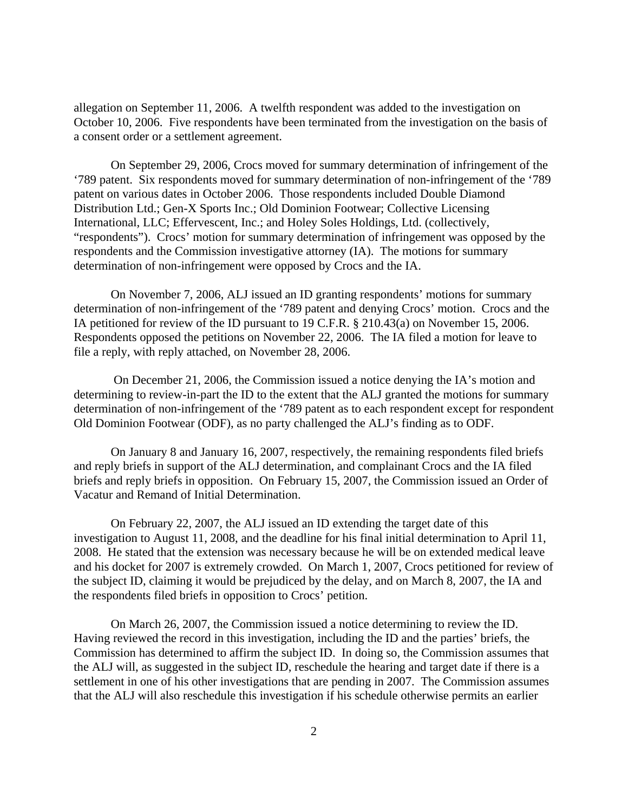allegation on September 11, 2006. A twelfth respondent was added to the investigation on October 10, 2006. Five respondents have been terminated from the investigation on the basis of a consent order or a settlement agreement.

On September 29, 2006, Crocs moved for summary determination of infringement of the '789 patent. Six respondents moved for summary determination of non-infringement of the '789 patent on various dates in October 2006. Those respondents included Double Diamond Distribution Ltd.; Gen-X Sports Inc.; Old Dominion Footwear; Collective Licensing International, LLC; Effervescent, Inc.; and Holey Soles Holdings, Ltd. (collectively, "respondents"). Crocs' motion for summary determination of infringement was opposed by the respondents and the Commission investigative attorney (IA). The motions for summary determination of non-infringement were opposed by Crocs and the IA.

On November 7, 2006, ALJ issued an ID granting respondents' motions for summary determination of non-infringement of the '789 patent and denying Crocs' motion. Crocs and the IA petitioned for review of the ID pursuant to 19 C.F.R. § 210.43(a) on November 15, 2006. Respondents opposed the petitions on November 22, 2006. The IA filed a motion for leave to file a reply, with reply attached, on November 28, 2006.

 On December 21, 2006, the Commission issued a notice denying the IA's motion and determining to review-in-part the ID to the extent that the ALJ granted the motions for summary determination of non-infringement of the '789 patent as to each respondent except for respondent Old Dominion Footwear (ODF), as no party challenged the ALJ's finding as to ODF.

On January 8 and January 16, 2007, respectively, the remaining respondents filed briefs and reply briefs in support of the ALJ determination, and complainant Crocs and the IA filed briefs and reply briefs in opposition. On February 15, 2007, the Commission issued an Order of Vacatur and Remand of Initial Determination.

On February 22, 2007, the ALJ issued an ID extending the target date of this investigation to August 11, 2008, and the deadline for his final initial determination to April 11, 2008. He stated that the extension was necessary because he will be on extended medical leave and his docket for 2007 is extremely crowded. On March 1, 2007, Crocs petitioned for review of the subject ID, claiming it would be prejudiced by the delay, and on March 8, 2007, the IA and the respondents filed briefs in opposition to Crocs' petition.

On March 26, 2007, the Commission issued a notice determining to review the ID. Having reviewed the record in this investigation, including the ID and the parties' briefs, the Commission has determined to affirm the subject ID. In doing so, the Commission assumes that the ALJ will, as suggested in the subject ID, reschedule the hearing and target date if there is a settlement in one of his other investigations that are pending in 2007. The Commission assumes that the ALJ will also reschedule this investigation if his schedule otherwise permits an earlier